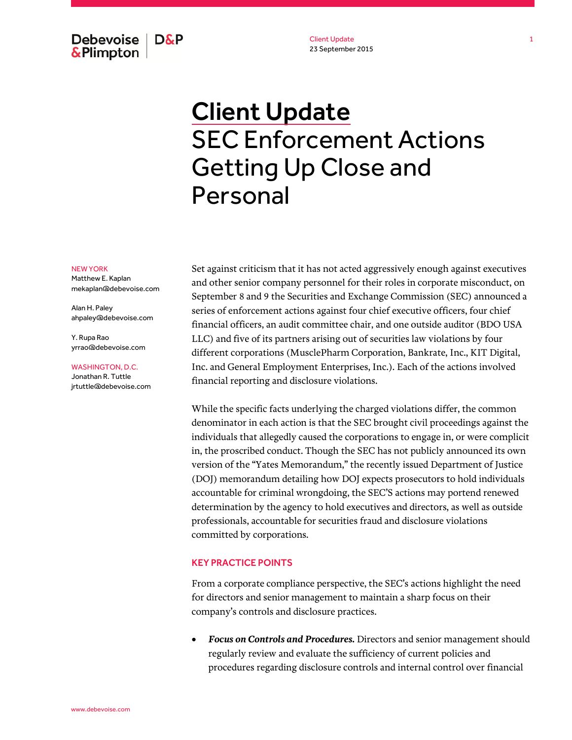Debevoise | **D&P** & Plimpton

Client Update 23 September 2015

## Client Update SEC Enforcement Actions Getting Up Close and Personal

## NEW YORK

Matthew E. Kaplan mekaplan@debevoise.com

Alan H. Paley ahpaley@debevoise.com

Y. Rupa Rao yrrao@debevoise.com

## WASHINGTON, D.C.

Jonathan R. Tuttle jrtuttle@debevoise.com Set against criticism that it has not acted aggressively enough against executives and other senior company personnel for their roles in corporate misconduct, on September 8 and 9 the Securities and Exchange Commission (SEC) announced a series of enforcement actions against four chief executive officers, four chief financial officers, an audit committee chair, and one outside auditor (BDO USA LLC) and five of its partners arising out of securities law violations by four different corporations (MusclePharm Corporation, Bankrate, Inc., KIT Digital, Inc. and General Employment Enterprises, Inc.). Each of the actions involved financial reporting and disclosure violations.

While the specific facts underlying the charged violations differ, the common denominator in each action is that the SEC brought civil proceedings against the individuals that allegedly caused the corporations to engage in, or were complicit in, the proscribed conduct. Though the SEC has not publicly announced its own version of the "Yates Memorandum," the recently issued Department of Justice (DOJ) memorandum detailing how DOJ expects prosecutors to hold individuals accountable for criminal wrongdoing, the SEC'S actions may portend renewed determination by the agency to hold executives and directors, as well as outside professionals, accountable for securities fraud and disclosure violations committed by corporations.

## KEY PRACTICE POINTS

From a corporate compliance perspective, the SEC's actions highlight the need for directors and senior management to maintain a sharp focus on their company's controls and disclosure practices.

 *Focus on Controls and Procedures.* Directors and senior management should regularly review and evaluate the sufficiency of current policies and procedures regarding disclosure controls and internal control over financial